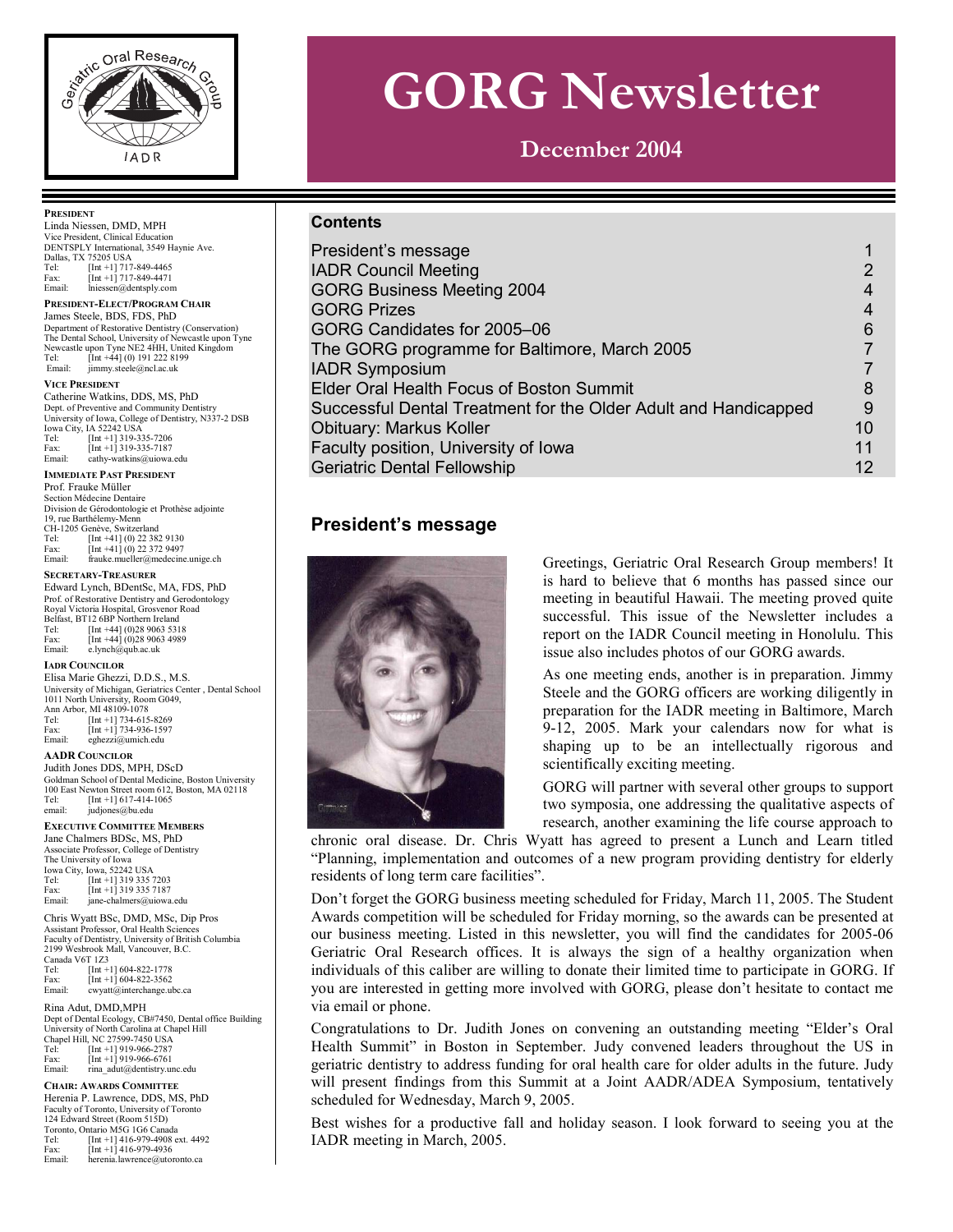

# **GORG Newsletter**

**December 2004** 

#### **Contents**

| President's message                                             |    |
|-----------------------------------------------------------------|----|
| <b>IADR Council Meeting</b>                                     | 2  |
| <b>GORG Business Meeting 2004</b>                               | 4  |
| <b>GORG Prizes</b>                                              | 4  |
| GORG Candidates for 2005-06                                     | 6  |
| The GORG programme for Baltimore, March 2005                    |    |
| <b>IADR Symposium</b>                                           |    |
| Elder Oral Health Focus of Boston Summit                        | 8  |
| Successful Dental Treatment for the Older Adult and Handicapped | 9  |
| <b>Obituary: Markus Koller</b>                                  | 10 |
| Faculty position, University of Iowa                            | 11 |
| <b>Geriatric Dental Fellowship</b>                              | 12 |

# **President's message**



Greetings, Geriatric Oral Research Group members! It is hard to believe that 6 months has passed since our meeting in beautiful Hawaii. The meeting proved quite successful. This issue of the Newsletter includes a report on the IADR Council meeting in Honolulu. This issue also includes photos of our GORG awards.

As one meeting ends, another is in preparation. Jimmy Steele and the GORG officers are working diligently in preparation for the IADR meeting in Baltimore, March 9-12, 2005. Mark your calendars now for what is shaping up to be an intellectually rigorous and scientifically exciting meeting.

GORG will partner with several other groups to support two symposia, one addressing the qualitative aspects of research, another examining the life course approach to

chronic oral disease. Dr. Chris Wyatt has agreed to present a Lunch and Learn titled "Planning, implementation and outcomes of a new program providing dentistry for elderly residents of long term care facilities".

Don't forget the GORG business meeting scheduled for Friday, March 11, 2005. The Student Awards competition will be scheduled for Friday morning, so the awards can be presented at our business meeting. Listed in this newsletter, you will find the candidates for 2005-06 Geriatric Oral Research offices. It is always the sign of a healthy organization when individuals of this caliber are willing to donate their limited time to participate in GORG. If you are interested in getting more involved with GORG, please don't hesitate to contact me via email or phone.

Congratulations to Dr. Judith Jones on convening an outstanding meeting "Elder's Oral Health Summit" in Boston in September. Judy convened leaders throughout the US in geriatric dentistry to address funding for oral health care for older adults in the future. Judy will present findings from this Summit at a Joint AADR/ADEA Symposium, tentatively scheduled for Wednesday, March 9, 2005.

Best wishes for a productive fall and holiday season. I look forward to seeing you at the IADR meeting in March, 2005.

#### **PRESIDENT**

Linda Niessen, DMD, MPH Vice President, Clinical Education DENTSPLY International, 3549 Haynie Ave. Dallas, TX 75205 USA Tel: [Int +1] 717-849-4465 Fax:  $\begin{bmatrix} \text{Int} +1 \\ \text{This} \end{bmatrix}$  717-849-4471<br>Email: lniessen@dentsply.com  $Iniessen@dentsply.com$ 

**PRESIDENT-ELECT/PROGRAM CHAIR** James Steele, BDS, FDS, PhD Department of Restorative Dentistry (Conservation) The Dental School, University of Newcastle upon Tyne Newcastle upon Tyne NE2 4HH, United Kingdom<br>Tel: [Int +441 (0) 191 222 8199 Tel:  $\left[\text{Int } +44\right]$  (0) 191 222 8199<br>Final:  $\lim_{x \to 0}$  steele@ncl ac uk jimmy.steele@ncl.ac.uk

#### **VICE PRESIDENT**

Catherine Watkins, DDS, MS, PhD Dept. of Preventive and Community Dentistr University of Iowa, College of Dentistry, N337-2 DSB Iowa City, IA 52242 USA<br>
Tel: [Int +1] 319-33<br>
Fax: [Int +1] 319-33 Tel: [Int +1] 319-335-7206 Fax: [Int +1] 319-335-7187 Email: cathy-watkins@uiowa.edu

#### **IMMEDIATE PAST PRESIDENT**

Prof. Frauke Müller Section Médecine Dentaire Division de Gérodontologie et Prothèse adjointe 19, rue Barthélemy-Menn CH-1205 Genève, Switzerland Tel: [Int +41] (0) 22 382 9130

| <b>SECRETARY-TREASURER</b> |                                  |  |
|----------------------------|----------------------------------|--|
| Email:                     | frauke.mueller@medecine.unige.ch |  |
| Fax:                       | $[Int +41] (0) 22 372 9497$      |  |

#### **SECRETARY-TREASURER** Edward Lynch, BDentSc, MA, FDS, PhD Prof. of Restorative Dentistry and Gerodontology Royal Victoria Hospital, Grosvenor Road Belfast, BT12 6BP Northern Ireland Tel: [Int +44] (0)28 9063 5318<br>Fax: [Int +441 (0)28 9063 4989  $[Int +44] (0)2899634989$ Email: e.lynch@qub.ac.uk

**IADR COUNCILOR**

Elisa Marie Ghezzi, D.D.S., M.S. University of Michigan, Geriatrics Center , Dental School 1011 North University, Room G049, Ann Arbor, MI 48109-1078<br>Tel: [Int +1] 734-615 Tel: [Int +1] 734-615-8269 Fax: [Int +1] 734-936-1597

#### **AADR COUNCILOR**

Email: eghezzi@umich.edu

Judith Jones DDS, MPH, DScD Goldman School of Dental Medicine, Boston University 100 East Newton Street room 612, Boston, MA 02118<br>Tel: [Int +11 617-414-1065] Tel:  $\begin{bmatrix} \text{Int } +1 \end{bmatrix} 617-414-1065$ <br>email: indiones@bu edu iudiones@bu.edu

#### **EXECUTIVE COMMITTEE MEMBERS**

Jane Chalmers BDSc, MS, PhD Associate Professor, College of Dentistry The University of Iowa Iowa City, Iowa, 52242 USA Tel: [Int +1] 319 335 7203 Fax: [Int +1] 319 335 7187 Email: jane-chalmers@uiowa.edu

Chris Wyatt BSc, DMD, MSc, Dip Pros Assistant Professor, Oral Health Sciences Faculty of Dentistry, University of British Columbia 2199 Wesbrook Mall, Vancouver, B.C. Canada V6T 1Z3<br>Tel: [Int + Tel: [Int +1] 604-822-1778 Fax: [Int +1] 604-822-3562

| гах.   | $ $ IIII $\top$ I   004-622-3302 |
|--------|----------------------------------|
| Email: | cwyatt@interchange.ubc.ca        |
|        | Rina Adut, DMD, MPH              |

Dept of Dental Ecology, CB#7450, Dental office Building University of North Carolina at Chapel Hill Chapel Hill, NC 27599-7450 USA

| Tel:   | $[Int +1]$ 919-966-2787     |
|--------|-----------------------------|
| Fax:   | $[Int +1]$ 919-966-6761     |
| Email: | rina adut@dentistry.unc.edu |

#### **CHAIR: AWARDS COMMITTEE**

Herenia P. Lawrence, DDS, MS, PhD Faculty of Toronto, University of Toronto 124 Edward Street (Room 515D) Toronto, Ontario M5G 1G6 Canada

|        | TOronto, Ontario M5G TG6 Canada   |
|--------|-----------------------------------|
| Tel:   | $[Int +1]$ 416-979-4908 ext. 4492 |
| Fax:   | $[Int +1]$ 416-979-4936           |
| Email: | herenia.lawrence@utoronto.ca      |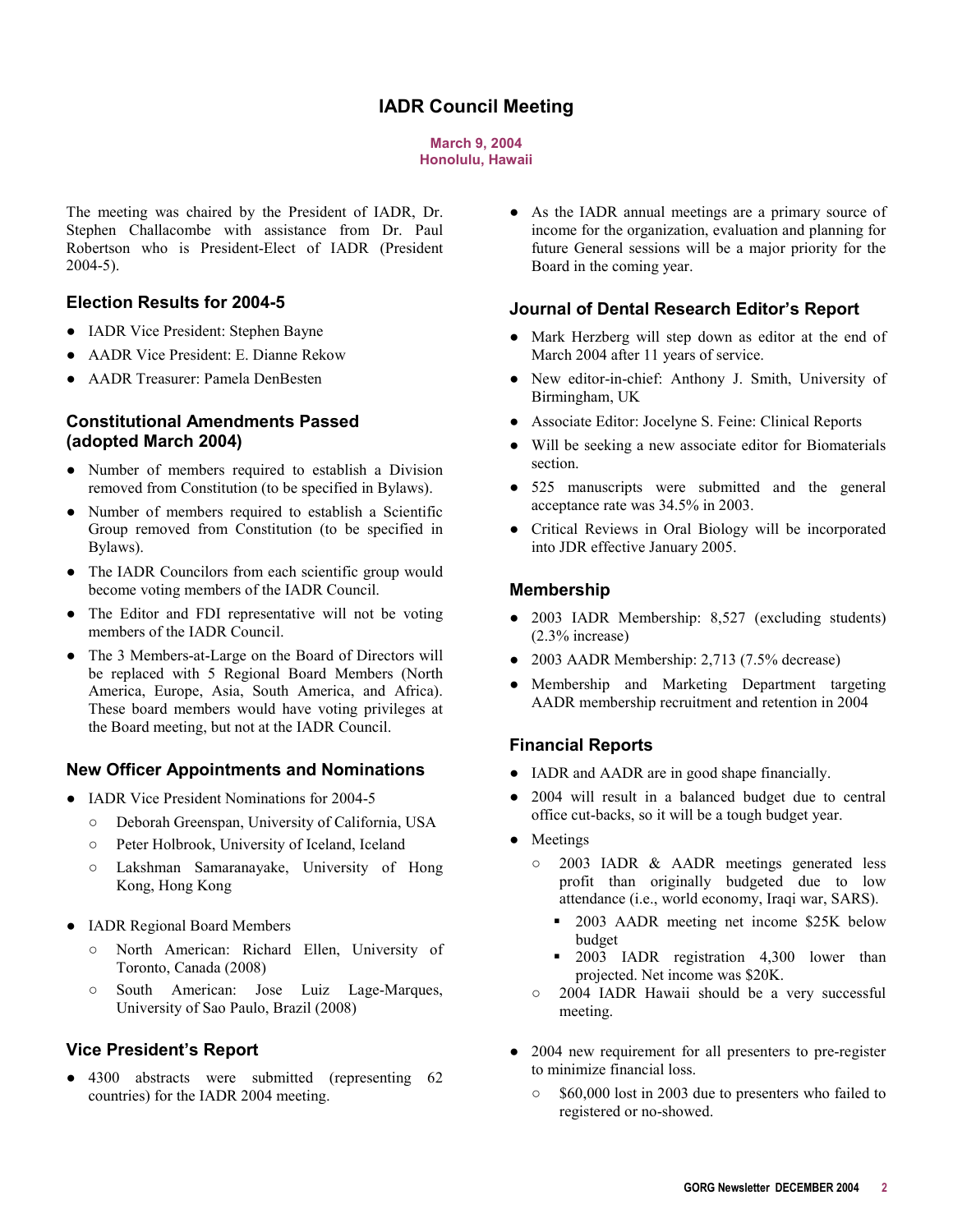# **IADR Council Meeting**

#### **March 9, 2004 Honolulu, Hawaii**

<span id="page-1-0"></span>The meeting was chaired by the President of IADR, Dr. Stephen Challacombe with assistance from Dr. Paul Robertson who is President-Elect of IADR (President 2004-5).

#### **Election Results for 2004-5**

- IADR Vice President: Stephen Bayne
- AADR Vice President: E. Dianne Rekow
- AADR Treasurer: Pamela DenBesten

### **Constitutional Amendments Passed (adopted March 2004)**

- Number of members required to establish a Division removed from Constitution (to be specified in Bylaws).
- Number of members required to establish a Scientific Group removed from Constitution (to be specified in Bylaws).
- The IADR Councilors from each scientific group would become voting members of the IADR Council.
- The Editor and FDI representative will not be voting members of the IADR Council.
- The 3 Members-at-Large on the Board of Directors will be replaced with 5 Regional Board Members (North America, Europe, Asia, South America, and Africa). These board members would have voting privileges at the Board meeting, but not at the IADR Council.

### **New Officer Appointments and Nominations**

- IADR Vice President Nominations for 2004-5
	- o Deborah Greenspan, University of California, USA
	- o Peter Holbrook, University of Iceland, Iceland
	- $\circ$  Lakshman Samaranayake, University of Hong Kong, Hong Kong
- IADR Regional Board Members
	- o North American: Richard Ellen, University of Toronto, Canada (2008)
	- $\circ$  South American: Jose Luiz Lage-Marques, University of Sao Paulo, Brazil (2008)

### **Vice President's Report**

• 4300 abstracts were submitted (representing 62 countries) for the IADR 2004 meeting.

• As the IADR annual meetings are a primary source of income for the organization, evaluation and planning for future General sessions will be a major priority for the Board in the coming year.

#### **Journal of Dental Research Editor's Report**

- Mark Herzberg will step down as editor at the end of March 2004 after 11 years of service.
- New editor-in-chief: Anthony J. Smith, University of Birmingham, UK
- Associate Editor: Jocelyne S. Feine: Clinical Reports
- Will be seeking a new associate editor for Biomaterials section.
- 525 manuscripts were submitted and the general acceptance rate was 34.5% in 2003.
- Critical Reviews in Oral Biology will be incorporated into JDR effective January 2005.

#### **Membership**

- 2003 IADR Membership: 8,527 (excluding students) (2.3% increase)
- $\bullet$  2003 AADR Membership: 2,713 (7.5% decrease)
- Membership and Marketing Department targeting AADR membership recruitment and retention in 2004

#### **Financial Reports**

- IADR and AADR are in good shape financially.
- 2004 will result in a balanced budget due to central office cut-backs, so it will be a tough budget year.
- Meetings
	- o 2003 IADR & AADR meetings generated less profit than originally budgeted due to low attendance (i.e., world economy, Iraqi war, SARS).
		- **2003 AADR** meeting net income \$25K below budget
		- **2003** IADR registration 4,300 lower than projected. Net income was \$20K.
	- o 2004 IADR Hawaii should be a very successful meeting.
- 2004 new requirement for all presenters to pre-register to minimize financial loss.
	- $\degree$  \$60,000 lost in 2003 due to presenters who failed to registered or no-showed.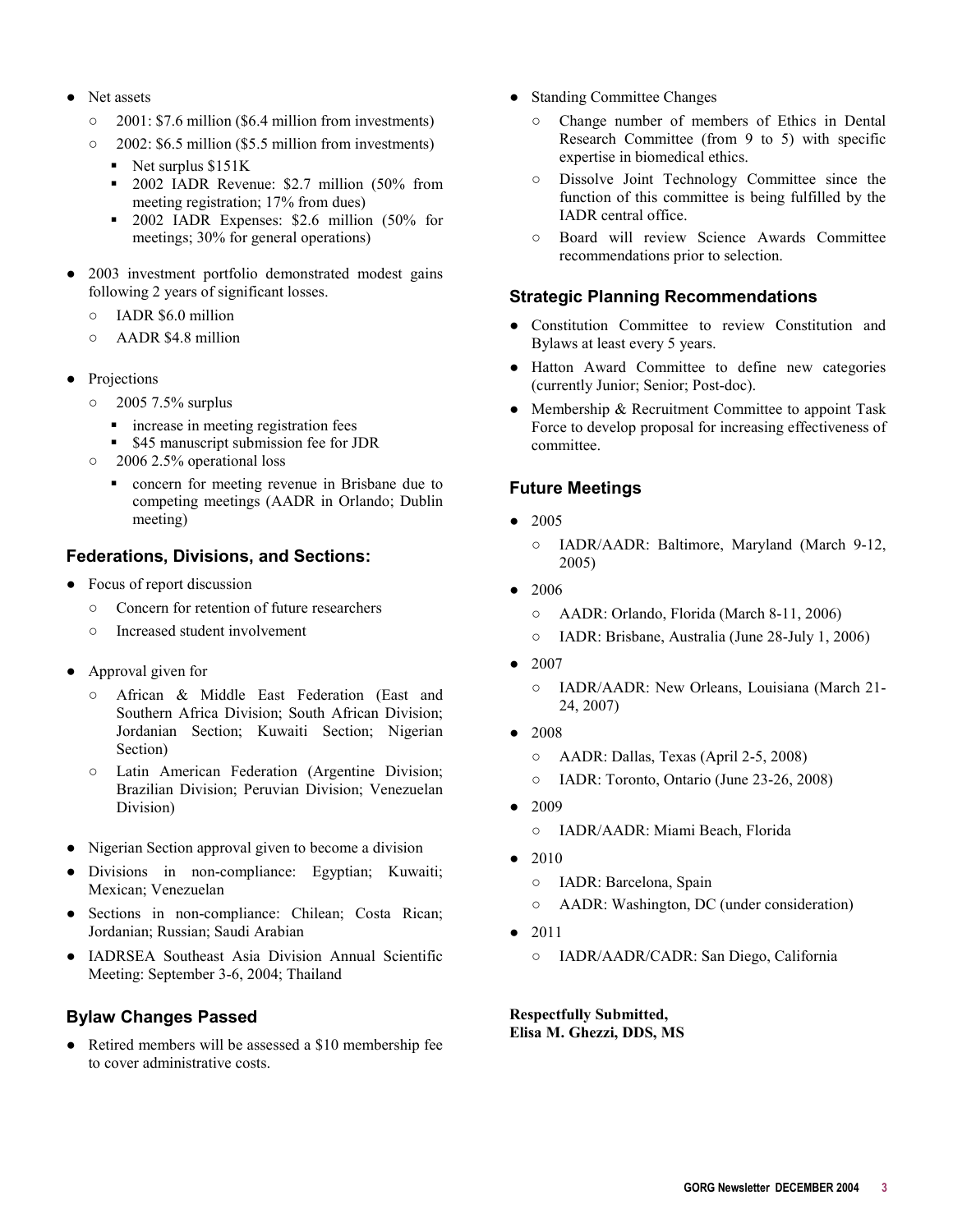- $\bullet$  Net assets
	- $\circ$  2001: \$7.6 million (\$6.4 million from investments)
	- $\circ$  2002: \$6.5 million (\$5.5 million from investments)
		- Net surplus \$151K
		- 2002 IADR Revenue: \$2.7 million (50% from meeting registration; 17% from dues)
		- 2002 IADR Expenses: \$2.6 million (50% for meetings; 30% for general operations)
- 2003 investment portfolio demonstrated modest gains following 2 years of significant losses.
	- $\circ$  IADR \$6.0 million
	- $\circ$  AADR \$4.8 million
- Projections
	- $\circ$  2005 7.5% surplus
		- increase in meeting registration fees
		- \$45 manuscript submission fee for JDR
	- $\circ$  2006 2.5% operational loss
		- concern for meeting revenue in Brisbane due to competing meetings (AADR in Orlando; Dublin meeting)

#### **Federations, Divisions, and Sections:**

- $\bullet$  Focus of report discussion
	- $\circ$  Concern for retention of future researchers
	- $\circ$  Increased student involvement
- Approval given for
	- o African & Middle East Federation (East and Southern Africa Division; South African Division; Jordanian Section; Kuwaiti Section; Nigerian Section)
	- $\circ$  Latin American Federation (Argentine Division; Brazilian Division; Peruvian Division; Venezuelan Division)
- Nigerian Section approval given to become a division
- Divisions in non-compliance: Egyptian; Kuwaiti; Mexican; Venezuelan
- Sections in non-compliance: Chilean; Costa Rican; Jordanian; Russian; Saudi Arabian
- IADRSEA Southeast Asia Division Annual Scientific Meeting: September 3-6, 2004; Thailand

### **Bylaw Changes Passed**

• Retired members will be assessed a \$10 membership fee to cover administrative costs.

- Standing Committee Changes
	- o Change number of members of Ethics in Dental Research Committee (from 9 to 5) with specific expertise in biomedical ethics.
	- $\circ$  Dissolve Joint Technology Committee since the function of this committee is being fulfilled by the IADR central office.
	- o Board will review Science Awards Committee recommendations prior to selection.

#### **Strategic Planning Recommendations**

- Constitution Committee to review Constitution and Bylaws at least every 5 years.
- $\bullet$  Hatton Award Committee to define new categories (currently Junior; Senior; Post-doc).
- Membership & Recruitment Committee to appoint Task Force to develop proposal for increasing effectiveness of committee.

## **Future Meetings**

- $\bullet$  2005
	- T IADR/AADR: Baltimore, Maryland (March 9-12, 2005)
- $\bullet$  2006
	- o AADR: Orlando, Florida (March 8-11, 2006)
	- o IADR: Brisbane, Australia (June 28-July 1, 2006)
- $\bullet$  2007
	- o IADR/AADR: New Orleans, Louisiana (March 21-24, 2007)
- $\bullet$  2008
	- $\circ$  AADR: Dallas, Texas (April 2-5, 2008)
	- o IADR: Toronto, Ontario (June 23-26, 2008)
- $\bullet$  2009
	- o IADR/AADR: Miami Beach, Florida
- 2010
	- o IADR: Barcelona, Spain
	- $\circ$  AADR: Washington, DC (under consideration)
- $\bullet$  2011
	- o IADR/AADR/CADR: San Diego, California

**Respectfully Submitted, Elisa M. Ghezzi, DDS, MS**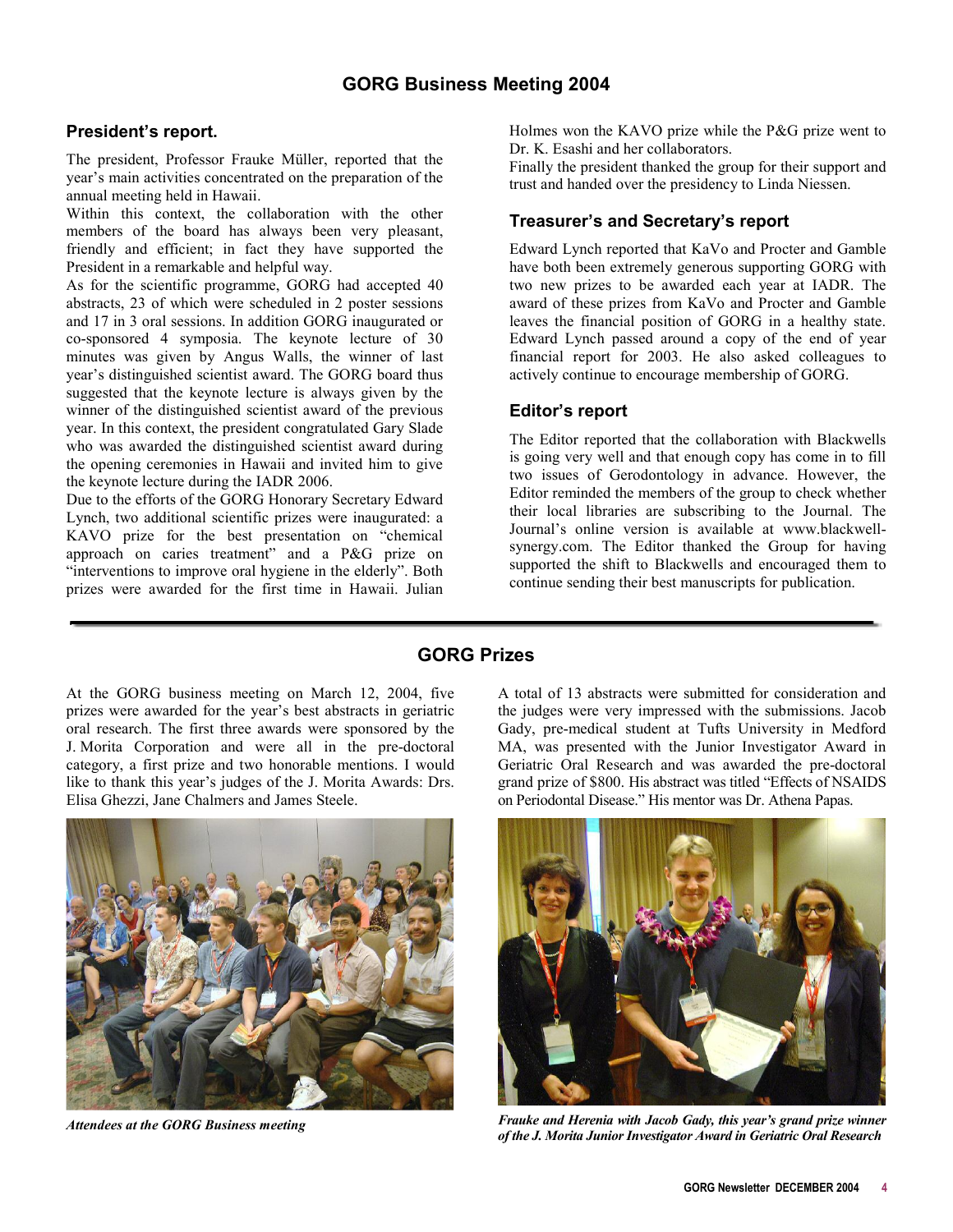## <span id="page-3-0"></span>**President's report.**

The president, Professor Frauke Müller, reported that the year's main activities concentrated on the preparation of the annual meeting held in Hawaii.

Within this context, the collaboration with the other members of the board has always been very pleasant, friendly and efficient; in fact they have supported the President in a remarkable and helpful way.

As for the scientific programme, GORG had accepted 40 abstracts, 23 of which were scheduled in 2 poster sessions and 17 in 3 oral sessions. In addition GORG inaugurated or co-sponsored 4 symposia. The keynote lecture of 30 minutes was given by Angus Walls, the winner of last year's distinguished scientist award. The GORG board thus suggested that the keynote lecture is always given by the winner of the distinguished scientist award of the previous year. In this context, the president congratulated Gary Slade who was awarded the distinguished scientist award during the opening ceremonies in Hawaii and invited him to give the keynote lecture during the IADR 2006.

Due to the efforts of the GORG Honorary Secretary Edward Lynch, two additional scientific prizes were inaugurated: a KAVO prize for the best presentation on "chemical approach on caries treatment" and a P&G prize on "interventions to improve oral hygiene in the elderly". Both prizes were awarded for the first time in Hawaii. Julian

Holmes won the KAVO prize while the P&G prize went to Dr. K. Esashi and her collaborators.

Finally the president thanked the group for their support and trust and handed over the presidency to Linda Niessen.

## **Treasurer's and Secretary's report**

Edward Lynch reported that KaVo and Procter and Gamble have both been extremely generous supporting GORG with two new prizes to be awarded each year at IADR. The award of these prizes from KaVo and Procter and Gamble leaves the financial position of GORG in a healthy state. Edward Lynch passed around a copy of the end of year financial report for 2003. He also asked colleagues to actively continue to encourage membership of GORG.

### **Editor's report**

The Editor reported that the collaboration with Blackwells is going very well and that enough copy has come in to fill two issues of Gerodontology in advance. However, the Editor reminded the members of the group to check whether their local libraries are subscribing to the Journal. The Journal's online version is available at www.blackwellsynergy.com. The Editor thanked the Group for having supported the shift to Blackwells and encouraged them to continue sending their best manuscripts for publication.

## **GORG Prizes**

At the GORG business meeting on March 12, 2004, five prizes were awarded for the year's best abstracts in geriatric oral research. The first three awards were sponsored by the J. Morita Corporation and were all in the pre-doctoral category, a first prize and two honorable mentions. I would like to thank this year's judges of the J. Morita Awards: Drs. Elisa Ghezzi, Jane Chalmers and James Steele.



*Attendees at the GORG Business meeting* 

A total of 13 abstracts were submitted for consideration and the judges were very impressed with the submissions. Jacob Gady, pre-medical student at Tufts University in Medford MA, was presented with the Junior Investigator Award in Geriatric Oral Research and was awarded the pre-doctoral grand prize of \$800. His abstract was titled "Effects of NSAIDS on Periodontal Disease." His mentor was Dr. Athena Papas.



*Frauke and Herenia with Jacob Gady, this year's grand prize winner of the J. Morita Junior Investigator Award in Geriatric Oral Research*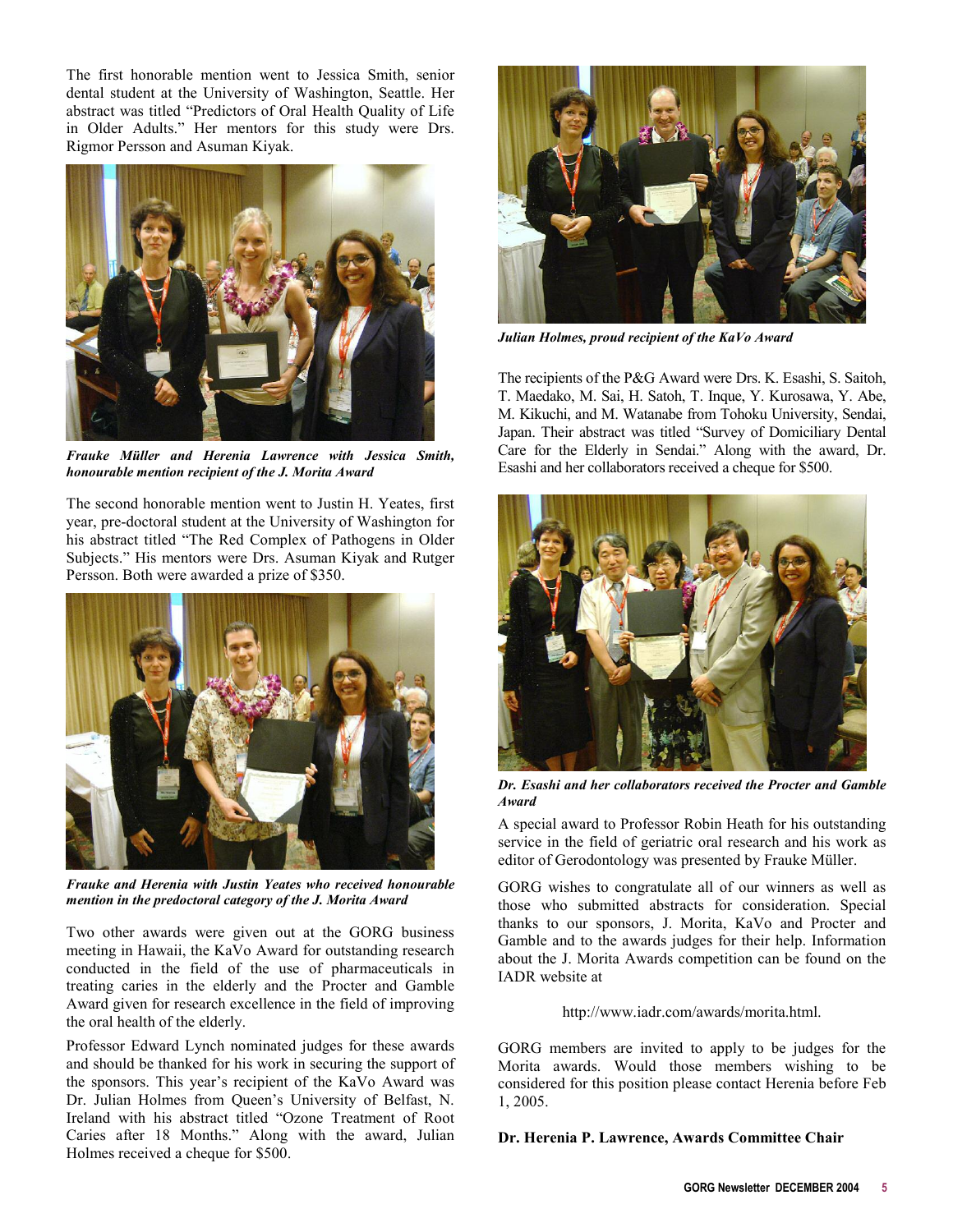The first honorable mention went to Jessica Smith, senior dental student at the University of Washington, Seattle. Her abstract was titled "Predictors of Oral Health Quality of Life in Older Adults." Her mentors for this study were Drs. Rigmor Persson and Asuman Kiyak.



*Frauke Müller and Herenia Lawrence with Jessica Smith, honourable mention recipient of the J. Morita Award* 

The second honorable mention went to Justin H. Yeates, first year, pre-doctoral student at the University of Washington for his abstract titled "The Red Complex of Pathogens in Older Subjects." His mentors were Drs. Asuman Kiyak and Rutger Persson. Both were awarded a prize of \$350.



*Frauke and Herenia with Justin Yeates who received honourable mention in the predoctoral category of the J. Morita Award* 

Two other awards were given out at the GORG business meeting in Hawaii, the KaVo Award for outstanding research conducted in the field of the use of pharmaceuticals in treating caries in the elderly and the Procter and Gamble Award given for research excellence in the field of improving the oral health of the elderly.

Professor Edward Lynch nominated judges for these awards and should be thanked for his work in securing the support of the sponsors. This year's recipient of the KaVo Award was Dr. Julian Holmes from Queen's University of Belfast, N. Ireland with his abstract titled "Ozone Treatment of Root Caries after 18 Months." Along with the award, Julian Holmes received a cheque for \$500.



*Julian Holmes, proud recipient of the KaVo Award* 

The recipients of the P&G Award were Drs. K. Esashi, S. Saitoh, T. Maedako, M. Sai, H. Satoh, T. Inque, Y. Kurosawa, Y. Abe, M. Kikuchi, and M. Watanabe from Tohoku University, Sendai, Japan. Their abstract was titled "Survey of Domiciliary Dental Care for the Elderly in Sendai." Along with the award, Dr. Esashi and her collaborators received a cheque for \$500.



*Dr. Esashi and her collaborators received the Procter and Gamble Award* 

A special award to Professor Robin Heath for his outstanding service in the field of geriatric oral research and his work as editor of Gerodontology was presented by Frauke Müller.

GORG wishes to congratulate all of our winners as well as those who submitted abstracts for consideration. Special thanks to our sponsors, J. Morita, KaVo and Procter and Gamble and to the awards judges for their help. Information about the J. Morita Awards competition can be found on the IADR website at

[http://www.iadr.com/awards/morita.html.](http://www.iadr.com/awards/morita.html)

GORG members are invited to apply to be judges for the Morita awards. Would those members wishing to be considered for this position please contact Herenia before Feb 1, 2005.

**Dr. Herenia P. Lawrence, Awards Committee Chair**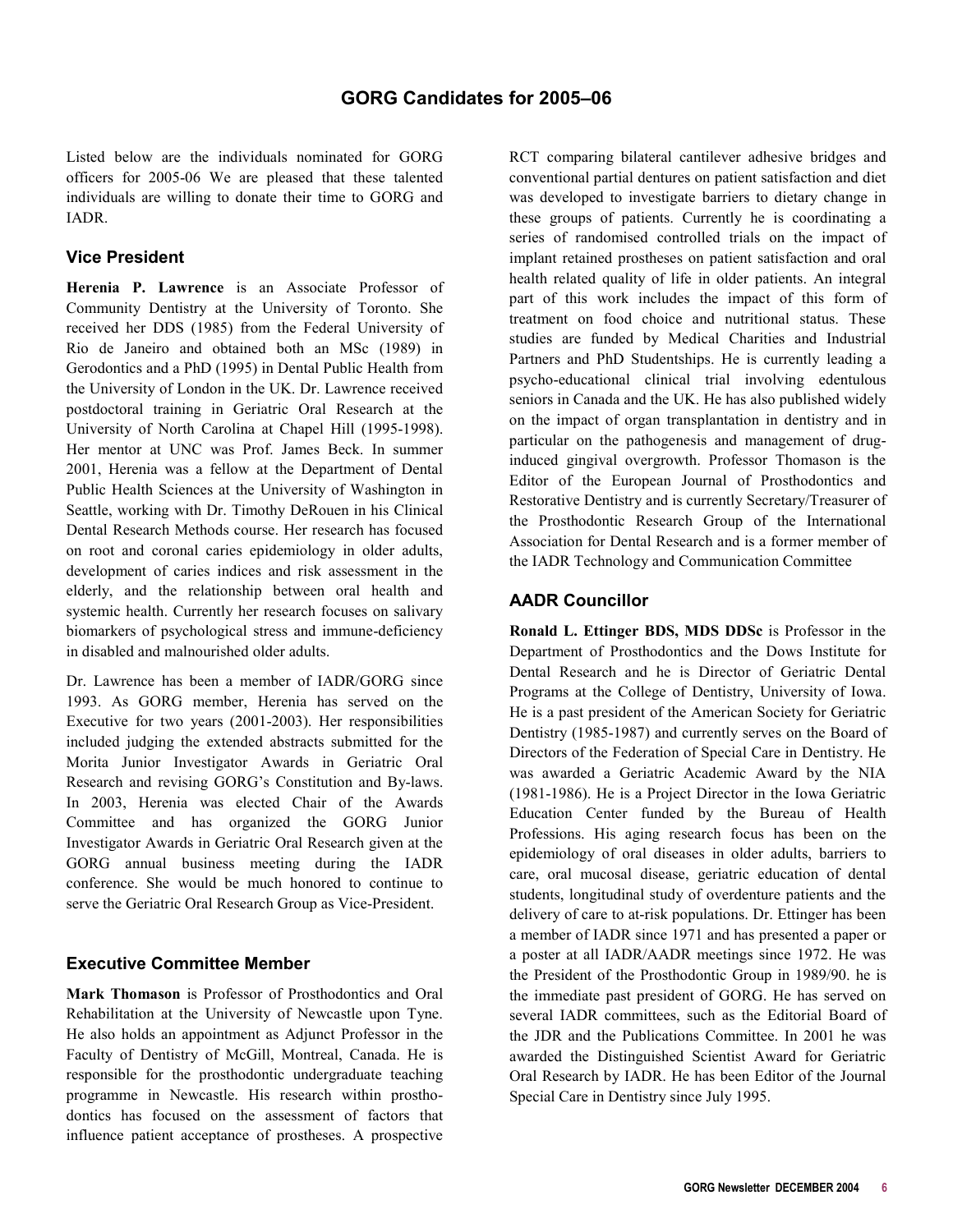<span id="page-5-0"></span>Listed below are the individuals nominated for GORG officers for 2005-06 We are pleased that these talented individuals are willing to donate their time to GORG and IADR.

## **Vice President**

**Herenia P. Lawrence** is an Associate Professor of Community Dentistry at the University of Toronto. She received her DDS (1985) from the Federal University of Rio de Janeiro and obtained both an MSc (1989) in Gerodontics and a PhD (1995) in Dental Public Health from the University of London in the UK. Dr. Lawrence received postdoctoral training in Geriatric Oral Research at the University of North Carolina at Chapel Hill (1995-1998). Her mentor at UNC was Prof. James Beck. In summer 2001, Herenia was a fellow at the Department of Dental Public Health Sciences at the University of Washington in Seattle, working with Dr. Timothy DeRouen in his Clinical Dental Research Methods course. Her research has focused on root and coronal caries epidemiology in older adults, development of caries indices and risk assessment in the elderly, and the relationship between oral health and systemic health. Currently her research focuses on salivary biomarkers of psychological stress and immune-deficiency in disabled and malnourished older adults.

Dr. Lawrence has been a member of IADR/GORG since 1993. As GORG member, Herenia has served on the Executive for two years (2001-2003). Her responsibilities included judging the extended abstracts submitted for the Morita Junior Investigator Awards in Geriatric Oral Research and revising GORG's Constitution and By-laws. In 2003, Herenia was elected Chair of the Awards Committee and has organized the GORG Junior Investigator Awards in Geriatric Oral Research given at the GORG annual business meeting during the IADR conference. She would be much honored to continue to serve the Geriatric Oral Research Group as Vice-President.

### **Executive Committee Member**

**Mark Thomason** is Professor of Prosthodontics and Oral Rehabilitation at the University of Newcastle upon Tyne. He also holds an appointment as Adjunct Professor in the Faculty of Dentistry of McGill, Montreal, Canada. He is responsible for the prosthodontic undergraduate teaching programme in Newcastle. His research within prosthodontics has focused on the assessment of factors that influence patient acceptance of prostheses. A prospective

RCT comparing bilateral cantilever adhesive bridges and conventional partial dentures on patient satisfaction and diet was developed to investigate barriers to dietary change in these groups of patients. Currently he is coordinating a series of randomised controlled trials on the impact of implant retained prostheses on patient satisfaction and oral health related quality of life in older patients. An integral part of this work includes the impact of this form of treatment on food choice and nutritional status. These studies are funded by Medical Charities and Industrial Partners and PhD Studentships. He is currently leading a psycho-educational clinical trial involving edentulous seniors in Canada and the UK. He has also published widely on the impact of organ transplantation in dentistry and in particular on the pathogenesis and management of druginduced gingival overgrowth. Professor Thomason is the Editor of the European Journal of Prosthodontics and Restorative Dentistry and is currently Secretary/Treasurer of the Prosthodontic Research Group of the International Association for Dental Research and is a former member of the IADR Technology and Communication Committee

### **AADR Councillor**

**Ronald L. Ettinger BDS, MDS DDSc** is Professor in the Department of Prosthodontics and the Dows Institute for Dental Research and he is Director of Geriatric Dental Programs at the College of Dentistry, University of Iowa. He is a past president of the American Society for Geriatric Dentistry (1985-1987) and currently serves on the Board of Directors of the Federation of Special Care in Dentistry. He was awarded a Geriatric Academic Award by the NIA (1981-1986). He is a Project Director in the Iowa Geriatric Education Center funded by the Bureau of Health Professions. His aging research focus has been on the epidemiology of oral diseases in older adults, barriers to care, oral mucosal disease, geriatric education of dental students, longitudinal study of overdenture patients and the delivery of care to at-risk populations. Dr. Ettinger has been a member of IADR since 1971 and has presented a paper or a poster at all IADR/AADR meetings since 1972. He was the President of the Prosthodontic Group in 1989/90. he is the immediate past president of GORG. He has served on several IADR committees, such as the Editorial Board of the JDR and the Publications Committee. In 2001 he was awarded the Distinguished Scientist Award for Geriatric Oral Research by IADR. He has been Editor of the Journal Special Care in Dentistry since July 1995.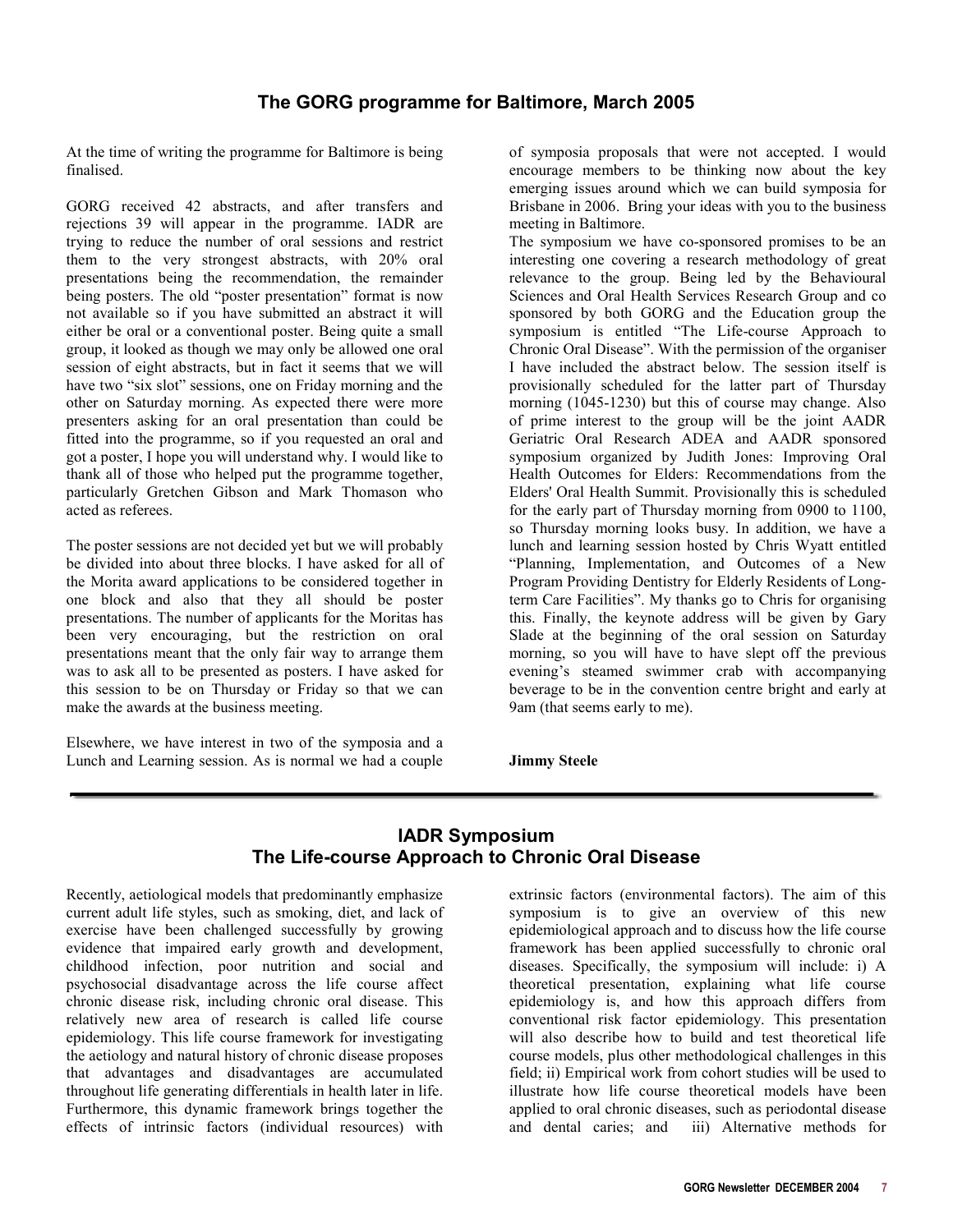# **The GORG programme for Baltimore, March 2005**

<span id="page-6-0"></span>At the time of writing the programme for Baltimore is being finalised.

GORG received 42 abstracts, and after transfers and rejections 39 will appear in the programme. IADR are trying to reduce the number of oral sessions and restrict them to the very strongest abstracts, with 20% oral presentations being the recommendation, the remainder being posters. The old "poster presentation" format is now not available so if you have submitted an abstract it will either be oral or a conventional poster. Being quite a small group, it looked as though we may only be allowed one oral session of eight abstracts, but in fact it seems that we will have two "six slot" sessions, one on Friday morning and the other on Saturday morning. As expected there were more presenters asking for an oral presentation than could be fitted into the programme, so if you requested an oral and got a poster, I hope you will understand why. I would like to thank all of those who helped put the programme together, particularly Gretchen Gibson and Mark Thomason who acted as referees.

The poster sessions are not decided yet but we will probably be divided into about three blocks. I have asked for all of the Morita award applications to be considered together in one block and also that they all should be poster presentations. The number of applicants for the Moritas has been very encouraging, but the restriction on oral presentations meant that the only fair way to arrange them was to ask all to be presented as posters. I have asked for this session to be on Thursday or Friday so that we can make the awards at the business meeting.

Elsewhere, we have interest in two of the symposia and a Lunch and Learning session. As is normal we had a couple

of symposia proposals that were not accepted. I would encourage members to be thinking now about the key emerging issues around which we can build symposia for Brisbane in 2006. Bring your ideas with you to the business meeting in Baltimore.

The symposium we have co-sponsored promises to be an interesting one covering a research methodology of great relevance to the group. Being led by the Behavioural Sciences and Oral Health Services Research Group and co sponsored by both GORG and the Education group the symposium is entitled "The Life-course Approach to Chronic Oral Disease". With the permission of the organiser I have included the abstract below. The session itself is provisionally scheduled for the latter part of Thursday morning (1045-1230) but this of course may change. Also of prime interest to the group will be the joint AADR Geriatric Oral Research ADEA and AADR sponsored symposium organized by Judith Jones: Improving Oral Health Outcomes for Elders: Recommendations from the Elders' Oral Health Summit. Provisionally this is scheduled for the early part of Thursday morning from 0900 to 1100, so Thursday morning looks busy. In addition, we have a lunch and learning session hosted by Chris Wyatt entitled "Planning, Implementation, and Outcomes of a New Program Providing Dentistry for Elderly Residents of Longterm Care Facilities". My thanks go to Chris for organising this. Finally, the keynote address will be given by Gary Slade at the beginning of the oral session on Saturday morning, so you will have to have slept off the previous evening's steamed swimmer crab with accompanying beverage to be in the convention centre bright and early at 9am (that seems early to me).

**Jimmy Steele**

# **IADR Symposium The Life-course Approach to Chronic Oral Disease**

Recently, aetiological models that predominantly emphasize current adult life styles, such as smoking, diet, and lack of exercise have been challenged successfully by growing evidence that impaired early growth and development, childhood infection, poor nutrition and social and psychosocial disadvantage across the life course affect chronic disease risk, including chronic oral disease. This relatively new area of research is called life course epidemiology. This life course framework for investigating the aetiology and natural history of chronic disease proposes that advantages and disadvantages are accumulated throughout life generating differentials in health later in life. Furthermore, this dynamic framework brings together the effects of intrinsic factors (individual resources) with

extrinsic factors (environmental factors). The aim of this symposium is to give an overview of this new epidemiological approach and to discuss how the life course framework has been applied successfully to chronic oral diseases. Specifically, the symposium will include: i) A theoretical presentation, explaining what life course epidemiology is, and how this approach differs from conventional risk factor epidemiology. This presentation will also describe how to build and test theoretical life course models, plus other methodological challenges in this field; ii) Empirical work from cohort studies will be used to illustrate how life course theoretical models have been applied to oral chronic diseases, such as periodontal disease and dental caries; and iii) Alternative methods for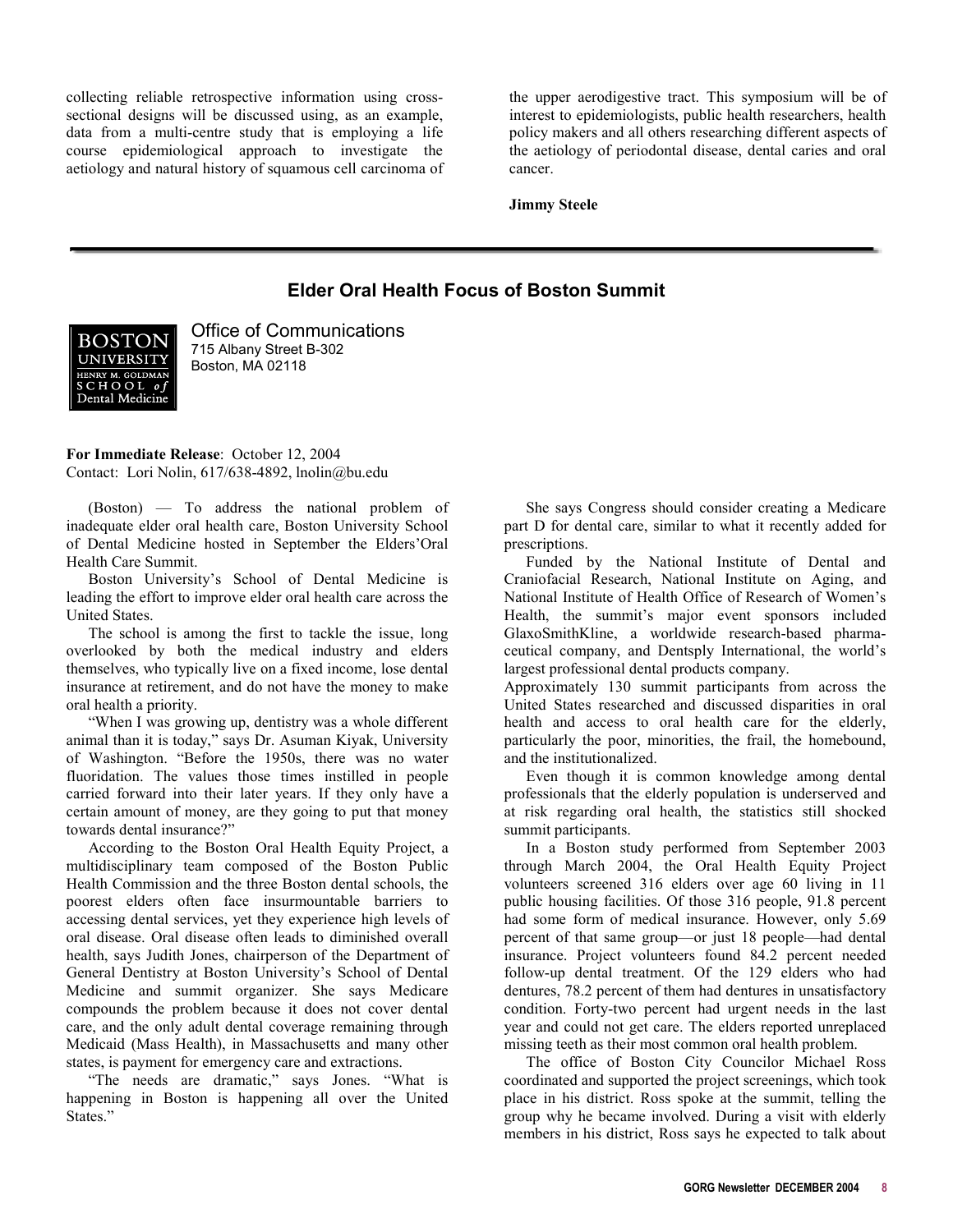<span id="page-7-0"></span>collecting reliable retrospective information using crosssectional designs will be discussed using, as an example, data from a multi-centre study that is employing a life course epidemiological approach to investigate the aetiology and natural history of squamous cell carcinoma of

the upper aerodigestive tract. This symposium will be of interest to epidemiologists, public health researchers, health policy makers and all others researching different aspects of the aetiology of periodontal disease, dental caries and oral cancer.

**Jimmy Steele**

# **Elder Oral Health Focus of Boston Summit**



Office of Communications 715 Albany Street B-302 Boston, MA 02118

**For Immediate Release**: October 12, 2004 Contact: Lori Nolin, 617/638-4892, lnolin@bu.edu

(Boston) — To address the national problem of inadequate elder oral health care, Boston University School of Dental Medicine hosted in September the Elders'Oral Health Care Summit.

 Boston University's School of Dental Medicine is leading the effort to improve elder oral health care across the United States.

 The school is among the first to tackle the issue, long overlooked by both the medical industry and elders themselves, who typically live on a fixed income, lose dental insurance at retirement, and do not have the money to make oral health a priority.

 "When I was growing up, dentistry was a whole different animal than it is today," says Dr. Asuman Kiyak, University of Washington. "Before the 1950s, there was no water fluoridation. The values those times instilled in people carried forward into their later years. If they only have a certain amount of money, are they going to put that money towards dental insurance?"

 According to the Boston Oral Health Equity Project, a multidisciplinary team composed of the Boston Public Health Commission and the three Boston dental schools, the poorest elders often face insurmountable barriers to accessing dental services, yet they experience high levels of oral disease. Oral disease often leads to diminished overall health, says Judith Jones, chairperson of the Department of General Dentistry at Boston University's School of Dental Medicine and summit organizer. She says Medicare compounds the problem because it does not cover dental care, and the only adult dental coverage remaining through Medicaid (Mass Health), in Massachusetts and many other states, is payment for emergency care and extractions.

 "The needs are dramatic," says Jones. "What is happening in Boston is happening all over the United States."

 She says Congress should consider creating a Medicare part D for dental care, similar to what it recently added for prescriptions.

 Funded by the National Institute of Dental and Craniofacial Research, National Institute on Aging, and National Institute of Health Office of Research of Women's Health, the summit's major event sponsors included GlaxoSmithKline, a worldwide research-based pharmaceutical company, and Dentsply International, the world's largest professional dental products company.

Approximately 130 summit participants from across the United States researched and discussed disparities in oral health and access to oral health care for the elderly, particularly the poor, minorities, the frail, the homebound, and the institutionalized.

 Even though it is common knowledge among dental professionals that the elderly population is underserved and at risk regarding oral health, the statistics still shocked summit participants.

 In a Boston study performed from September 2003 through March 2004, the Oral Health Equity Project volunteers screened 316 elders over age 60 living in 11 public housing facilities. Of those 316 people, 91.8 percent had some form of medical insurance. However, only 5.69 percent of that same group—or just 18 people—had dental insurance. Project volunteers found 84.2 percent needed follow-up dental treatment. Of the 129 elders who had dentures, 78.2 percent of them had dentures in unsatisfactory condition. Forty-two percent had urgent needs in the last year and could not get care. The elders reported unreplaced missing teeth as their most common oral health problem.

 The office of Boston City Councilor Michael Ross coordinated and supported the project screenings, which took place in his district. Ross spoke at the summit, telling the group why he became involved. During a visit with elderly members in his district, Ross says he expected to talk about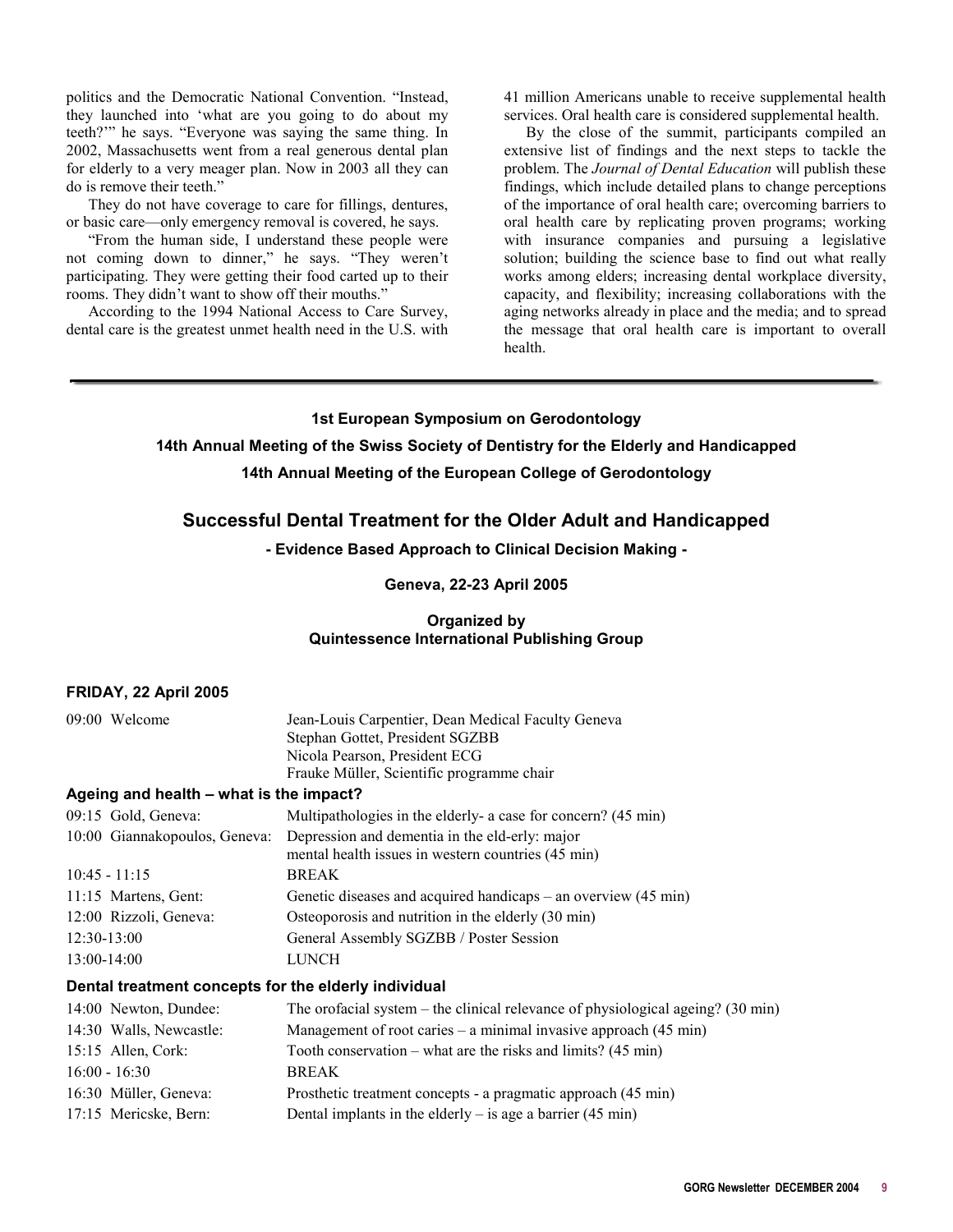<span id="page-8-0"></span>politics and the Democratic National Convention. "Instead, they launched into 'what are you going to do about my teeth?'" he says. "Everyone was saying the same thing. In 2002, Massachusetts went from a real generous dental plan for elderly to a very meager plan. Now in 2003 all they can do is remove their teeth."

 They do not have coverage to care for fillings, dentures, or basic care—only emergency removal is covered, he says.

 "From the human side, I understand these people were not coming down to dinner," he says. "They weren't participating. They were getting their food carted up to their rooms. They didn't want to show off their mouths."

 According to the 1994 National Access to Care Survey, dental care is the greatest unmet health need in the U.S. with 41 million Americans unable to receive supplemental health services. Oral health care is considered supplemental health.

 By the close of the summit, participants compiled an extensive list of findings and the next steps to tackle the problem. The *Journal of Dental Education* will publish these findings, which include detailed plans to change perceptions of the importance of oral health care; overcoming barriers to oral health care by replicating proven programs; working with insurance companies and pursuing a legislative solution; building the science base to find out what really works among elders; increasing dental workplace diversity, capacity, and flexibility; increasing collaborations with the aging networks already in place and the media; and to spread the message that oral health care is important to overall health.

# **1st European Symposium on Gerodontology 14th Annual Meeting of the Swiss Society of Dentistry for the Elderly and Handicapped 14th Annual Meeting of the European College of Gerodontology**

## **Successful Dental Treatment for the Older Adult and Handicapped**

**- Evidence Based Approach to Clinical Decision Making -** 

#### **Geneva, 22-23 April 2005**

#### **Organized by Quintessence International Publishing Group**

#### **FRIDAY, 22 April 2005**

| 09:00 Welcome                           | Jean-Louis Carpentier, Dean Medical Faculty Geneva                                                   |
|-----------------------------------------|------------------------------------------------------------------------------------------------------|
|                                         | Stephan Gottet, President SGZBB                                                                      |
|                                         | Nicola Pearson, President ECG                                                                        |
|                                         | Frauke Müller, Scientific programme chair                                                            |
| Ageing and health – what is the impact? |                                                                                                      |
| 09:15 Gold, Geneva:                     | Multipathologies in the elderly- a case for concern? (45 min)                                        |
| 10:00 Giannakopoulos, Geneva:           | Depression and dementia in the eld-erly: major<br>mental health issues in western countries (45 min) |
| $10:45 - 11:15$                         | <b>BREAK</b>                                                                                         |
| 11:15 Martens, Gent:                    | Genetic diseases and acquired handicaps – an overview $(45 \text{ min})$                             |
| 12:00 Rizzoli, Geneva:                  | Osteoporosis and nutrition in the elderly (30 min)                                                   |
| 12:30-13:00                             | General Assembly SGZBB / Poster Session                                                              |
| 13:00-14:00                             | LUNCH                                                                                                |

#### **Dental treatment concepts for the elderly individual**

| 14:00 Newton, Dundee:   | The orofacial system – the clinical relevance of physiological ageing? $(30 \text{ min})$ |
|-------------------------|-------------------------------------------------------------------------------------------|
| 14:30 Walls, Newcastle: | Management of root caries – a minimal invasive approach $(45 \text{ min})$                |
| $15:15$ Allen, Cork:    | Tooth conservation – what are the risks and limits? $(45 \text{ min})$                    |
| $16:00 - 16:30$         | <b>BREAK</b>                                                                              |
| 16:30 Müller, Geneva:   | Prosthetic treatment concepts - a pragmatic approach (45 min)                             |
| 17:15 Mericske, Bern:   | Dental implants in the elderly $-$ is age a barrier (45 min)                              |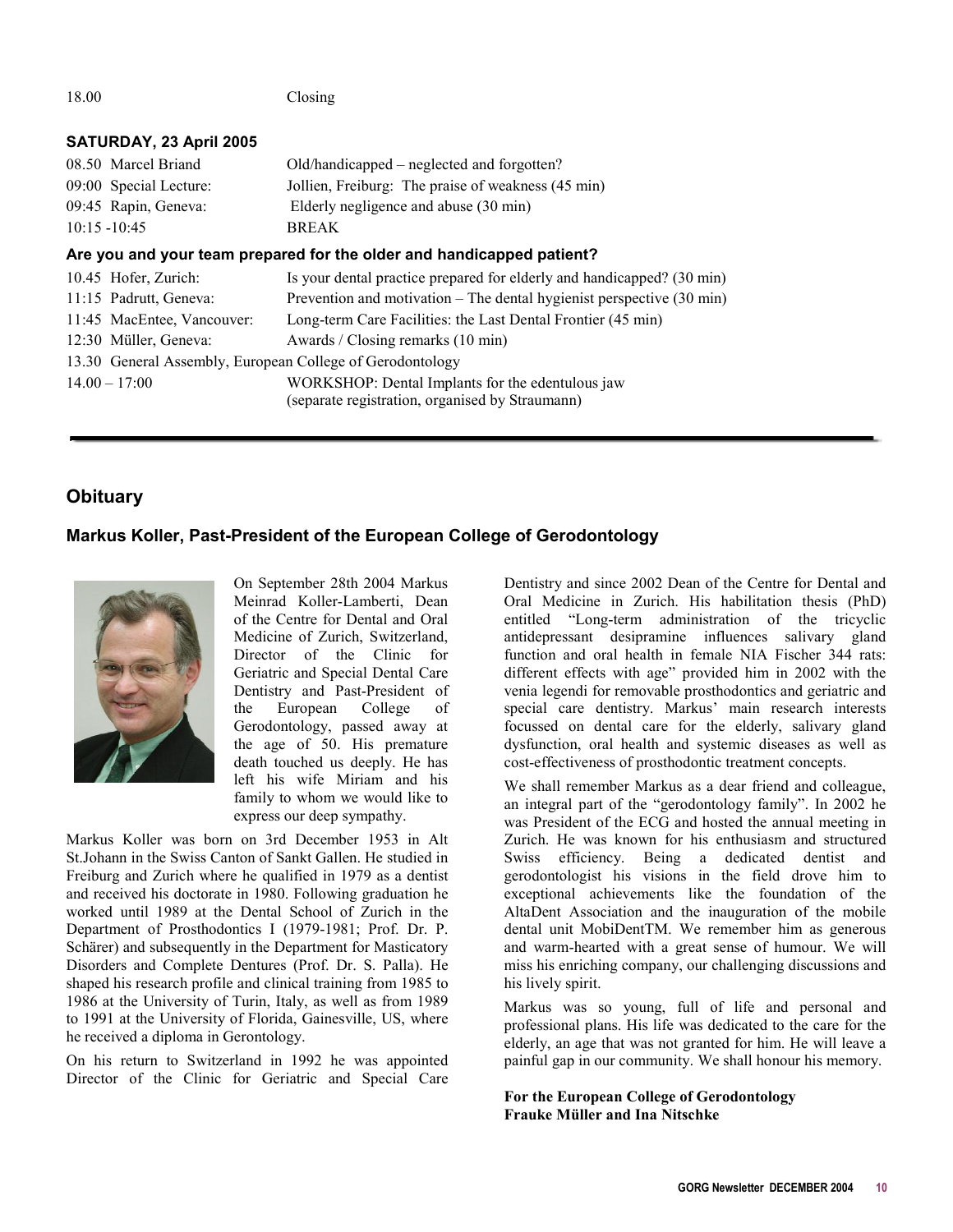<span id="page-9-0"></span>

| 18.00 |                            | Closing                                                                           |
|-------|----------------------------|-----------------------------------------------------------------------------------|
|       | SATURDAY, 23 April 2005    |                                                                                   |
|       | 08.50 Marcel Briand        | Old/handicapped – neglected and forgotten?                                        |
|       | 09:00 Special Lecture:     | Jollien, Freiburg: The praise of weakness (45 min)                                |
|       | 09:45 Rapin, Geneva:       | Elderly negligence and abuse (30 min)                                             |
|       | $10:15 - 10:45$            | <b>BREAK</b>                                                                      |
|       |                            | Are you and your team prepared for the older and handicapped patient?             |
|       | 10.45 Hofer, Zurich:       | Is your dental practice prepared for elderly and handicapped? (30 min)            |
|       | 11:15 Padrutt, Geneva:     | Prevention and motivation $-$ The dental hygienist perspective $(30 \text{ min})$ |
|       | 11:45 MacEntee, Vancouver: | Long-term Care Facilities: the Last Dental Frontier (45 min)                      |
|       | 12:30 Müller, Geneva:      | Awards / Closing remarks (10 min)                                                 |
|       |                            | 13.30 General Assembly, European College of Gerodontology                         |
|       | $14.00 - 17:00$            | WORKSHOP: Dental Implants for the edentulous jaw                                  |
|       |                            | (separate registration, organised by Straumann)                                   |

# **Obituary**

## **Markus Koller, Past-President of the European College of Gerodontology**



On September 28th 2004 Markus Meinrad Koller-Lamberti, Dean of the Centre for Dental and Oral Medicine of Zurich, Switzerland, Director of the Clinic for Geriatric and Special Dental Care Dentistry and Past-President of the European College of Gerodontology, passed away at the age of 50. His premature death touched us deeply. He has left his wife Miriam and his family to whom we would like to express our deep sympathy.

Markus Koller was born on 3rd December 1953 in Alt St.Johann in the Swiss Canton of Sankt Gallen. He studied in Freiburg and Zurich where he qualified in 1979 as a dentist and received his doctorate in 1980. Following graduation he worked until 1989 at the Dental School of Zurich in the Department of Prosthodontics I (1979-1981; Prof. Dr. P. Schärer) and subsequently in the Department for Masticatory Disorders and Complete Dentures (Prof. Dr. S. Palla). He shaped his research profile and clinical training from 1985 to 1986 at the University of Turin, Italy, as well as from 1989 to 1991 at the University of Florida, Gainesville, US, where he received a diploma in Gerontology.

On his return to Switzerland in 1992 he was appointed Director of the Clinic for Geriatric and Special Care Dentistry and since 2002 Dean of the Centre for Dental and Oral Medicine in Zurich. His habilitation thesis (PhD) entitled "Long-term administration of the tricyclic antidepressant desipramine influences salivary gland function and oral health in female NIA Fischer 344 rats: different effects with age" provided him in 2002 with the venia legendi for removable prosthodontics and geriatric and special care dentistry. Markus' main research interests focussed on dental care for the elderly, salivary gland dysfunction, oral health and systemic diseases as well as cost-effectiveness of prosthodontic treatment concepts.

We shall remember Markus as a dear friend and colleague, an integral part of the "gerodontology family". In 2002 he was President of the ECG and hosted the annual meeting in Zurich. He was known for his enthusiasm and structured Swiss efficiency. Being a dedicated dentist and gerodontologist his visions in the field drove him to exceptional achievements like the foundation of the AltaDent Association and the inauguration of the mobile dental unit MobiDentTM. We remember him as generous and warm-hearted with a great sense of humour. We will miss his enriching company, our challenging discussions and his lively spirit.

Markus was so young, full of life and personal and professional plans. His life was dedicated to the care for the elderly, an age that was not granted for him. He will leave a painful gap in our community. We shall honour his memory.

**For the European College of Gerodontology Frauke Müller and Ina Nitschke**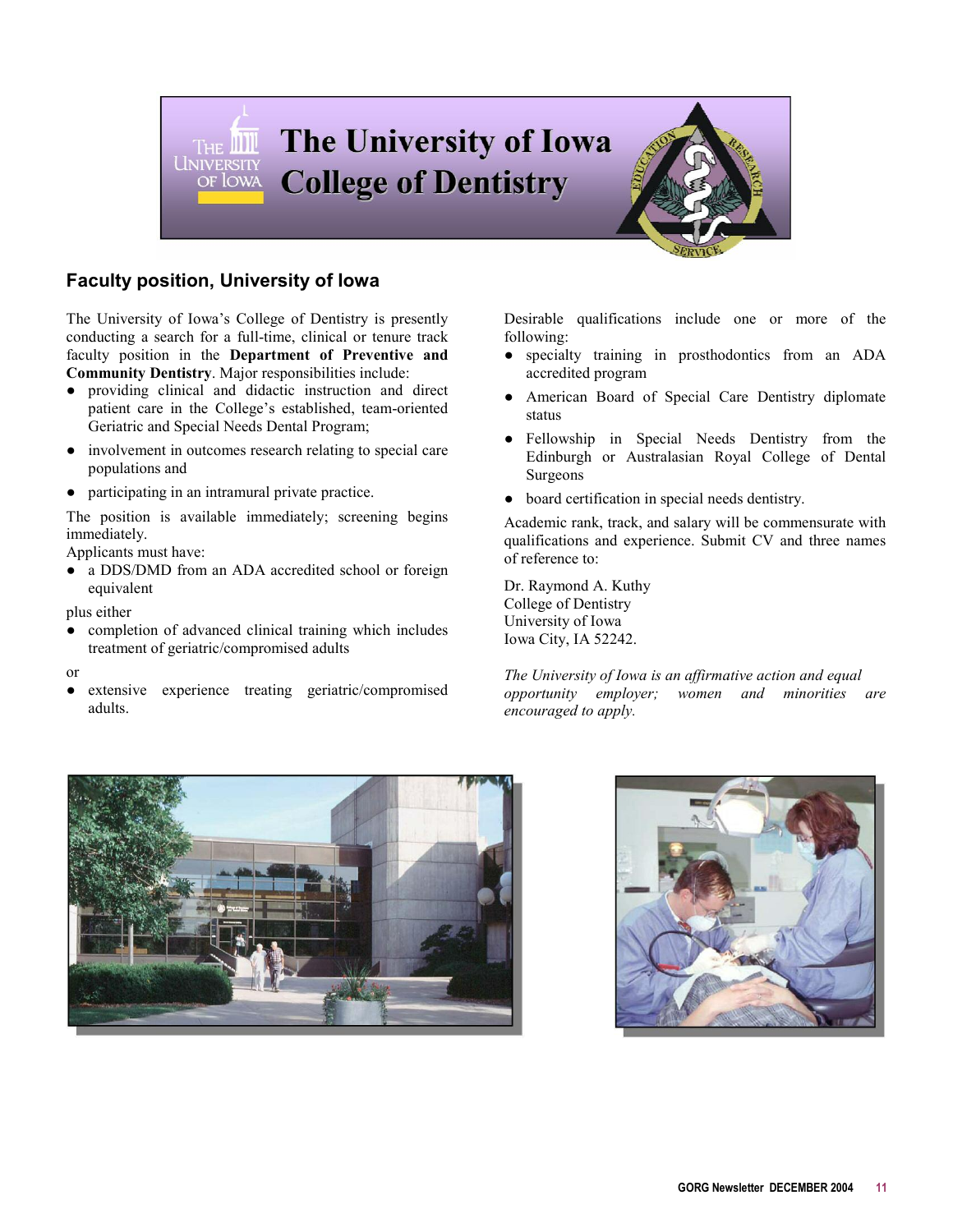<span id="page-10-0"></span>

# **Faculty position, University of Iowa**

The University of Iowa's College of Dentistry is presently conducting a search for a full-time, clinical or tenure track faculty position in the **Department of Preventive and Community Dentistry**. Major responsibilities include:

- providing clinical and didactic instruction and direct patient care in the College's established, team-oriented Geriatric and Special Needs Dental Program;
- involvement in outcomes research relating to special care populations and
- participating in an intramural private practice.

The position is available immediately; screening begins immediately.

Applicants must have:

• a DDS/DMD from an ADA accredited school or foreign equivalent

plus either

- completion of advanced clinical training which includes treatment of geriatric/compromised adults
- or
- extensive experience treating geriatric/compromised adults.

Desirable qualifications include one or more of the following:

- specialty training in prosthodontics from an ADA accredited program
- American Board of Special Care Dentistry diplomate status
- Fellowship in Special Needs Dentistry from the Edinburgh or Australasian Royal College of Dental Surgeons
- $\bullet$  board certification in special needs dentistry.

Academic rank, track, and salary will be commensurate with qualifications and experience. Submit CV and three names of reference to:

Dr. Raymond A. Kuthy College of Dentistry University of Iowa Iowa City, IA 52242.

*The University of Iowa is an affirmative action and equal opportunity employer; women and minorities are encouraged to apply.*